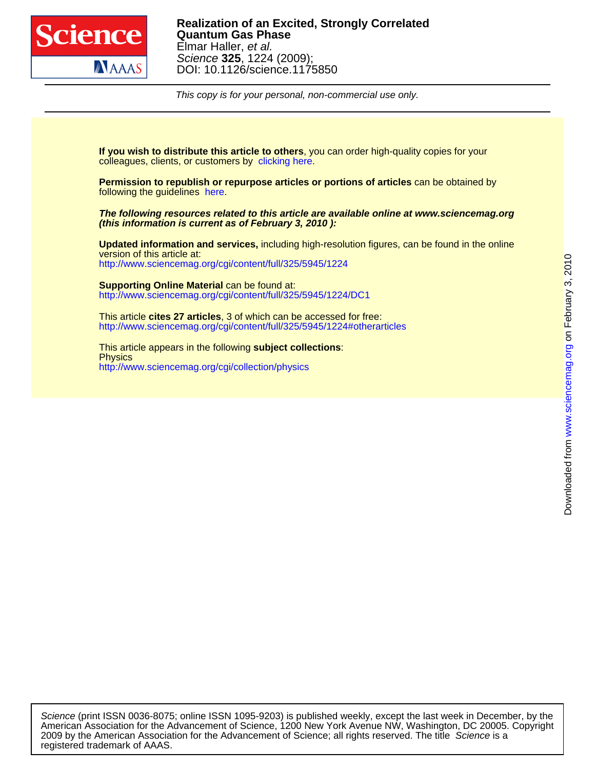

This copy is for your personal, non-commercial use only.

colleagues, clients, or customers by [clicking here.](http://www.sciencemag.org/about/permissions.dtl) **If you wish to distribute this article to others**, you can order high-quality copies for your

following the guidelines [here.](http://www.sciencemag.org/help/about/permissions.dtl) **Permission to republish or repurpose articles or portions of articles** can be obtained by

**(this information is current as of February 3, 2010 ): The following resources related to this article are available online at www.sciencemag.org**

<http://www.sciencemag.org/cgi/content/full/325/5945/1224> version of this article at: **Updated information and services,** including high-resolution figures, can be found in the online

<http://www.sciencemag.org/cgi/content/full/325/5945/1224/DC1> **Supporting Online Material** can be found at:

<http://www.sciencemag.org/cgi/content/full/325/5945/1224#otherarticles> This article **cites 27 articles**, 3 of which can be accessed for free:

<http://www.sciencemag.org/cgi/collection/physics> **Physics** This article appears in the following **subject collections**:

registered trademark of AAAS. 2009 by the American Association for the Advancement of Science; all rights reserved. The title Science is a American Association for the Advancement of Science, 1200 New York Avenue NW, Washington, DC 20005. Copyright Science (print ISSN 0036-8075; online ISSN 1095-9203) is published weekly, except the last week in December, by the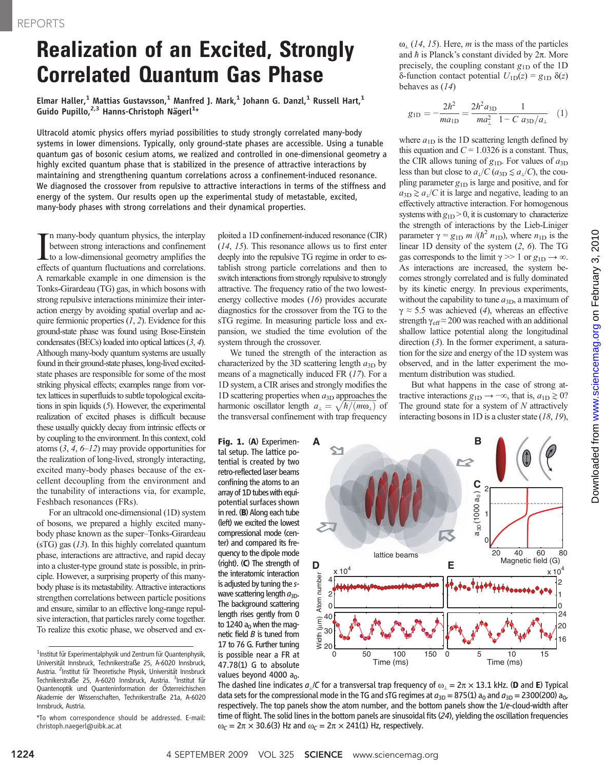## Realization of an Excited, Strongly Correlated Quantum Gas Phase

Elmar Haller,<sup>1</sup> Mattias Gustavsson,<sup>1</sup> Manfred J. Mark,<sup>1</sup> Johann G. Danzl,<sup>1</sup> Russell Hart,<sup>1</sup> Guido Pupillo, $^{2,3}$  Hanns-Christoph Nägerl $^{1*}$ 

Ultracold atomic physics offers myriad possibilities to study strongly correlated many-body systems in lower dimensions. Typically, only ground-state phases are accessible. Using a tunable quantum gas of bosonic cesium atoms, we realized and controlled in one-dimensional geometry a highly excited quantum phase that is stabilized in the presence of attractive interactions by maintaining and strengthening quantum correlations across a confinement-induced resonance. We diagnosed the crossover from repulsive to attractive interactions in terms of the stiffness and energy of the system. Our results open up the experimental study of metastable, excited, many-body phases with strong correlations and their dynamical properties.

In many-body quantum physics, the interplay<br>between strong interactions and confinement<br>to a low-dimensional geometry amplifies the<br>effects of quantum fluctuations and correlations. n many-body quantum physics, the interplay between strong interactions and confinement to a low-dimensional geometry amplifies the A remarkable example in one dimension is the Tonks-Girardeau (TG) gas, in which bosons with strong repulsive interactions minimize their interaction energy by avoiding spatial overlap and acquire fermionic properties  $(1, 2)$ . Evidence for this ground-state phase was found using Bose-Einstein condensates (BECs) loaded into optical lattices (3, 4). Although many-body quantum systems are usually found in their ground-state phases, long-lived excitedstate phases are responsible for some of the most striking physical effects; examples range from vortex lattices in superfluids to subtle topological excitations in spin liquids (5). However, the experimental realization of excited phases is difficult because these usually quickly decay from intrinsic effects or by coupling to the environment. In this context, cold atoms  $(3, 4, 6-12)$  may provide opportunities for the realization of long-lived, strongly interacting, excited many-body phases because of the excellent decoupling from the environment and the tunability of interactions via, for example, Feshbach resonances (FRs).

For an ultracold one-dimensional (1D) system of bosons, we prepared a highly excited manybody phase known as the super–Tonks-Girardeau (sTG) gas (13). In this highly correlated quantum phase, interactions are attractive, and rapid decay into a cluster-type ground state is possible, in principle. However, a surprising property of this manybody phase is its metastability. Attractive interactions strengthen correlations between particle positions and ensure, similar to an effective long-range repulsive interaction, that particles rarely come together. To realize this exotic phase, we observed and exploited a 1D confinement-induced resonance (CIR) (14, 15). This resonance allows us to first enter deeply into the repulsive TG regime in order to establish strong particle correlations and then to switch interactions from strongly repulsive to strongly attractive. The frequency ratio of the two lowestenergy collective modes (16) provides accurate diagnostics for the crossover from the TG to the sTG regime. In measuring particle loss and expansion, we studied the time evolution of the system through the crossover.

We tuned the strength of the interaction as characterized by the 3D scattering length  $a_{3D}$  by means of a magnetically induced FR (17). For a 1D system, a CIR arises and strongly modifies the 1D scattering properties when  $a_{3D}$  approaches the harmonic oscillator length  $a_{\perp} = \sqrt{\hbar/(m\omega_{\perp})}$  of the transversal confinement with transfrequency the transversal confinement with trap frequency

**A**

 $\bm{\simeq}$ 

Fig. 1. (A) Experimental setup. The lattice potential is created by two retro-reflected laser beams confining the atoms to an array of 1D tubes with equipotential surfaces shown in red.  $(B)$  Along each tube (left) we excited the lowest compressional mode (center) and compared its frequency to the dipole mode (right). (C) The strength of the interatomic interaction is adjusted by tuning the swave scattering length  $a_{3D}$ . The background scattering length rises gently from 0 to 1240  $a_0$  when the magnetic field  $B$  is tuned from 17 to 76 G. Further tuning is possible near a FR at 47.78(1) G to absolute values beyond 4000  $a_0$ .  $\omega$ <sub>⊥</sub> (14, 15). Here, *m* is the mass of the particles and  $\hbar$  is Planck's constant divided by  $2\pi$ . More precisely, the coupling constant  $g_{1D}$  of the 1D  $\delta$ -function contact potential  $U_{1D}(z) = g_{1D} \delta(z)$ behaves as (14)

$$
g_{\rm 1D} = -\frac{2h^2}{ma_{\rm 1D}} = \frac{2h^2a_{\rm 3D}}{ma_{\rm 1}^2} \frac{1}{1 - C a_{\rm 3D}/a_{\rm 1}} \quad (1)
$$

where  $a_{1D}$  is the 1D scattering length defined by this equation and  $C = 1.0326$  is a constant. Thus, the CIR allows tuning of  $g_{1D}$ . For values of  $a_{3D}$ less than but close to  $a_{\perp}/C$  ( $a_{3D} \le a_{\perp}/C$ ), the coupling parameter  $g_{1D}$  is large and positive, and for  $a_{3D} \gtrsim a_1/C$  it is large and negative, leading to an effectively attractive interaction. For homogenous systems with  $g_{1D} > 0$ , it is customary to characterize the strength of interactions by the Lieb-Liniger parameter  $\gamma = g_{1D} m /(\hbar^2 n_{1D})$ , where  $n_{1D}$  is the linear 1D density of the system (2, 6). The TG gas corresponds to the limit  $\gamma \gg 1$  or  $g_{1D} \to \infty$ . As interactions are increased, the system becomes strongly correlated and is fully dominated by its kinetic energy. In previous experiments, without the capability to tune  $a_{3D}$ , a maximum of  $\gamma \approx 5.5$  was achieved (4), whereas an effective strength  $\gamma_{\text{eff}} \approx 200$  was reached with an additional shallow lattice potential along the longitudinal direction (3). In the former experiment, a saturation for the size and energy of the 1D system was observed, and in the latter experiment the momentum distribution was studied.

But what happens in the case of strong attractive interactions  $g_{1D} \rightarrow -\infty$ , that is,  $a_{1D} \ge 0$ ? The ground state for a system of  $N$  attractively interacting bosons in 1D is a cluster state  $(18, 19)$ ,

**B**

2



The dashed line indicates  $a_1/C$  for a transversal trap frequency of  $\omega_1 = 2\pi \times 13.1$  kHz. (D and E) Typical data sets for the compressional mode in the TG and sTG regimes at  $a_{3D} = 875(1) a_0$  and  $a_{3D} = 2300(200) a_0$ , respectively. The top panels show the atom number, and the bottom panels show the 1/e-cloud-width after time of flight. The solid lines in the bottom panels are sinusoidal fits (24), yielding the oscillation frequencies  $\omega_C = 2\pi \times 30.6(3)$  Hz and  $\omega_C = 2\pi \times 241(1)$  Hz, respectively.

16 20

 $\Omega$ 1 2  $\times 10^4$ 

24

<sup>&</sup>lt;sup>1</sup>Institut für Experimentalphysik und Zentrum für Quantenphysik, Universität Innsbruck, Technikerstraße 25, A-6020 Innsbruck, Austria. <sup>2</sup>Institut für Theoretische Physik, Universität Innsbruck Technikerstraße 25, A-6020 Innsbruck, Austria. <sup>3</sup>Institut für Quantenoptik und Quanteninformation der Österreichischen Akademie der Wissenschaften, Technikerstraße 21a, A-6020 Innsbruck, Austria.

<sup>\*</sup>To whom correspondence should be addressed. E-mail: christoph.naegerl@uibk.ac.at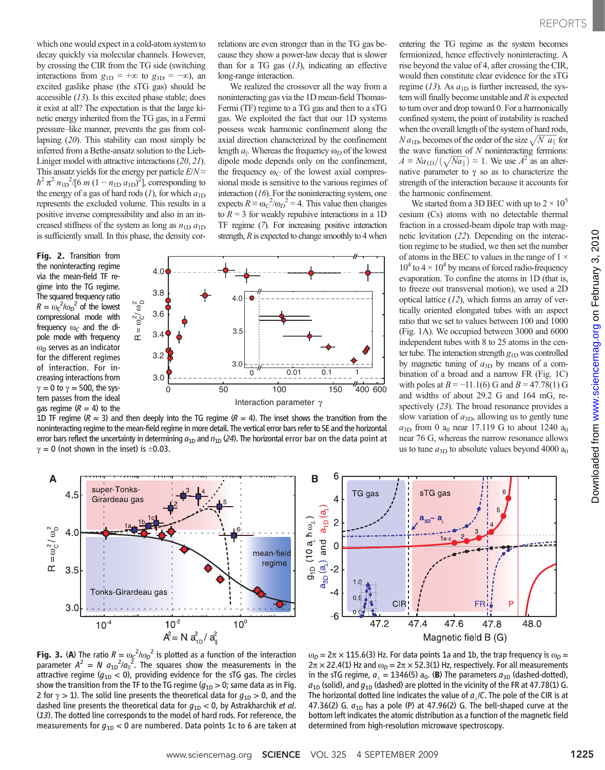which one would expect in a cold-atom system to decay quickly via molecular channels. However, by crossing the CIR from the TG side (switching interactions from  $g_{1D}$  = +∞ to  $g_{1D}$  = -∞), an excited gaslike phase (the sTG gas) should be accessible (13). Is this excited phase stable; does it exist at all? The expectation is that the large kinetic energy inherited from the TG gas, in a Fermi pressure–like manner, prevents the gas from collapsing (20). This stability can most simply be inferred from a Bethe-ansatz solution to the Lieb-Liniger model with attractive interactions (20, 21). This ansatz yields for the energy per particle  $E/N \approx$  $\hbar^2 \pi^2 n_{1D}^2$  (6 m  $(1 - n_{1D} a_{1D})^2$ ), corresponding to<br>the energy of a gas of hard rods (1) for which  $a_{1D}$ the energy of a gas of hard rods  $(I)$ , for which  $a_{1D}$ represents the excluded volume. This results in a positive inverse compressibility and also in an increased stiffness of the system as long as  $n_{1D} a_{1D}$ is sufficiently small. In this phase, the density cor-

Fig. 2. Transition from the noninteracting regime via the mean-field TF regime into the TG regime. The squared frequency ratio  $R = \omega_C^2/\omega_D^2$  of the lowest<br>compressional mode with compressional mode with frequency  $\omega_C$  and the dipole mode with frequency  $\omega_D$  serves as an indicator for the different regimes of interaction. For increasing interactions from  $\gamma = 0$  to  $\gamma \approx 500$ , the system passes from the ideal gas regime  $(R = 4)$  to the

relations are even stronger than in the TG gas because they show a power-law decay that is slower than for a TG gas  $(13)$ , indicating an effective long-range interaction.

We realized the crossover all the way from a noninteracting gas via the 1D mean-field Thomas-Fermi (TF) regime to a TG gas and then to a sTG gas. We exploited the fact that our 1D systems possess weak harmonic confinement along the axial direction characterized by the confinement length  $a_{\parallel}$ . Whereas the frequency  $\omega_D$  of the lowest dipole mode depends only on the confinement, the frequency  $\omega_C$  of the lowest axial compressional mode is sensitive to the various regimes of interaction  $(16)$ . For the noninteracting system, one expects  $R = \omega_c^2/\omega_D^2 = 4$ . This value then changes<br>to  $R = 3$  for weakly repulsive interactions in a 1D to  $R = 3$  for weakly repulsive interactions in a 1D TF regime (7). For increasing positive interaction strength,  $R$  is expected to change smoothly to 4 when



1D TF regime ( $R \approx 3$ ) and then deeply into the TG regime ( $R = 4$ ). The inset shows the transition from the noninteracting regime to the mean-field regime in more detail. The vertical error bars refer to SE and the horizontal error bars reflect the uncertainty in determining  $a_{1D}$  and  $n_{1D}$  (24). The horizontal error bar on the data point at  $\gamma = 0$  (not shown in the inset) is  $\pm 0.03$ .

entering the TG regime as the system becomes fermionized, hence effectively noninteracting. A rise beyond the value of 4, after crossing the CIR, would then constitute clear evidence for the sTG regime (13). As  $a_{1D}$  is further increased, the system will finally become unstable and  $R$  is expected to turn over and drop toward 0. For a harmonically confined system, the point of instability is reached when the overall length of the system of hard rods,  $N a_{1D}$ , becomes of the order of the size  $\sqrt{N a_{\parallel}}$  for the wave function of N populate action fermions: N  $a_{\text{1D}}$ , becomes of the order of the size  $\sqrt{N} a_{\parallel}$  for<br>the wave function of N noninteracting fermions:<br> $A = N a_{\text{1D}} / (\sqrt{N a_{\parallel}}) \approx 1$ . We use  $A^2$  as an alter- $A \equiv Na_{1D}/(\sqrt{Na_{\parallel}}) \approx 1$ . We use  $A^2$  as an alternative parameter to  $\chi$  so as to characterize the  $A = N a_{1D} / (\sqrt{N a_{\parallel}}) \approx 1$ . We use A as an alternative parameter to  $\gamma$  so as to characterize the strength of the interaction because it accounts for the harmonic confinement.

We started from a 3D BEC with up to  $2 \times 10^5$ cesium (Cs) atoms with no detectable thermal fraction in a crossed-beam dipole trap with magnetic levitation (22). Depending on the interaction regime to be studied, we then set the number of atoms in the BEC to values in the range of  $1 \times$  $10^4$  to  $4 \times 10^4$  by means of forced radio-frequency evaporation. To confine the atoms in 1D (that is, to freeze out transversal motion), we used a 2D optical lattice  $(12)$ , which forms an array of vertically oriented elongated tubes with an aspect ratio that we set to values between 100 and 1000 (Fig. 1A). We occupied between 3000 and 6000 independent tubes with 8 to 25 atoms in the center tube. The interaction strength  $g_{1D}$  was controlled by magnetic tuning of  $a_{3D}$  by means of a combination of a broad and a narrow FR (Fig. 1C) with poles at  $B = -11.1(6)$  G and  $B = 47.78(1)$  G and widths of about 29.2 G and 164 mG, respectively (23). The broad resonance provides a slow variation of  $a_{3D}$ , allowing us to gently tune  $a_{3D}$  from 0 a<sub>0</sub> near 17.119 G to about 1240 a<sub>0</sub> near 76 G, whereas the narrow resonance allows us to tune  $a_{3D}$  to absolute values beyond 4000  $a_0$ 







**Fig. 3. (A)** The ratio  $R = \omega_c^2/\omega_p^2$  is plotted as a function of the interaction parameter  $A^2 = N_a \omega_b^2/\omega_b^2$ . The squares show the measurements in the parameter  $A^2 = N a_{1D}^2 / a_{11}^2$ . The squares show the measurements in the attractive regime  $(a_{2D} < 0)$  providing evidence for the sTG gas. The circles attractive regime ( $g_{1D}$  < 0), providing evidence for the sTG gas. The circles show the transition from the TF to the TG regime  $(g_{1D} > 0)$ ; same data as in Fig. 2 for  $\gamma > 1$ ). The solid line presents the theoretical data for  $g_{1D} > 0$ , and the dashed line presents the theoretical data for  $g_{1D}$  < 0, by Astrakharchik et al. (13). The dotted line corresponds to the model of hard rods. For reference, the measurements for  $g_{1D}$  < 0 are numbered. Data points 1c to 6 are taken at

 $\omega_D = 2\pi \times 115.6(3)$  Hz. For data points 1a and 1b, the trap frequency is  $\omega_D =$  $2\pi \times 22.4(1)$  Hz and  $\omega_D = 2\pi \times 52.3(1)$  Hz, respectively. For all measurements in the sTG regime,  $a_{\perp} = 1346(5) a_0$ . (B) The parameters  $a_{3D}$  (dashed-dotted),  $a_{1D}$  (solid), and  $g_{1D}$  (dashed) are plotted in the vicinity of the FR at 47.78(1) G. The horizontal dotted line indicates the value of  $a<sub>1</sub>/C$ . The pole of the CIR is at 47.36(2) G.  $a_{1D}$  has a pole (P) at 47.96(2) G. The bell-shaped curve at the bottom left indicates the atomic distribution as a function of the magnetic field determined from high-resolution microwave spectroscopy.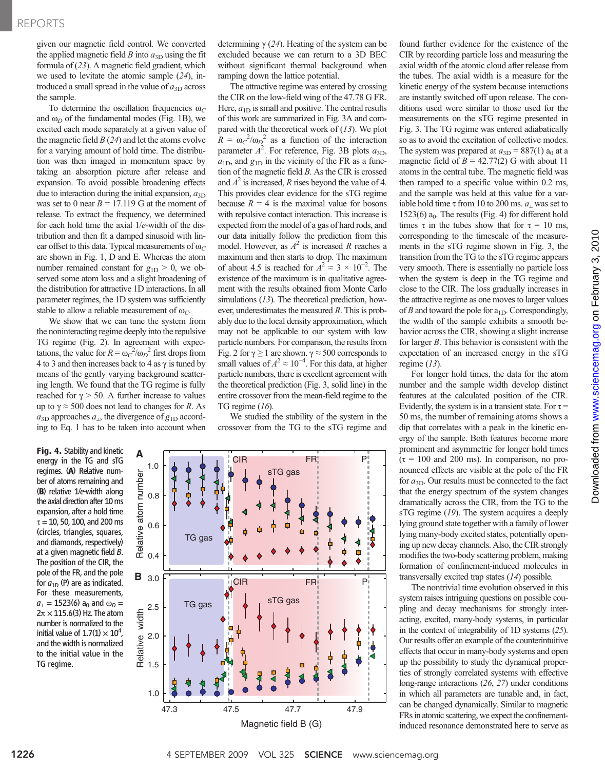given our magnetic field control. We converted the applied magnetic field B into  $a_{3D}$  using the fit formula of (23). A magnetic field gradient, which we used to levitate the atomic sample (24), introduced a small spread in the value of  $a_{3D}$  across the sample.

To determine the oscillation frequencies  $\omega_C$ and  $\omega_D$  of the fundamental modes (Fig. 1B), we excited each mode separately at a given value of the magnetic field  $B(24)$  and let the atoms evolve for a varying amount of hold time. The distribution was then imaged in momentum space by taking an absorption picture after release and expansion. To avoid possible broadening effects due to interaction during the initial expansion,  $a_{3D}$ was set to 0 near  $B = 17.119$  G at the moment of release. To extract the frequency, we determined for each hold time the axial 1/e-width of the distribution and then fit a damped sinusoid with linear offset to this data. Typical measurements of  $\omega_C$ are shown in Fig. 1, D and E. Whereas the atom number remained constant for  $g_{1D} > 0$ , we observed some atom loss and a slight broadening of the distribution for attractive 1D interactions. In all parameter regimes, the 1D system was sufficiently stable to allow a reliable measurement of  $\omega_C$ .

We show that we can tune the system from the noninteracting regime deeply into the repulsive TG regime (Fig. 2). In agreement with expectations, the value for  $R = \omega_C^2/\omega_D^2$  first drops from<br>4 to 3 and then increases back to 4 as y is tuned by 4 to 3 and then increases back to 4 as  $\gamma$  is tuned by means of the gently varying background scattering length. We found that the TG regime is fully reached for  $\gamma > 50$ . A further increase to values up to  $\gamma \approx 500$  does not lead to changes for R. As  $a_{3D}$  approaches  $a_{1}$ , the divergence of  $g_{1D}$  according to Eq. 1 has to be taken into account when

Fig. 4. Stability and kinetic energy in the TG and sTG regimes. (A) Relative number of atoms remaining and (B) relative 1/e-width along the axial direction after 10 ms expansion, after a hold time  $\tau = 10$ , 50, 100, and 200 ms (circles, triangles, squares, and diamonds, respectively) at a given magnetic field B. The position of the CIR, the pole of the FR, and the pole for  $a_{1D}$  (P) are as indicated. For these measurements,  $a_1 = 1523(6)$  a<sub>0</sub> and  $\omega_D =$  $2\pi \times 115.6(3)$  Hz. The atom number is normalized to the initial value of  $1.7(1) \times 10^4$ , and the width is normalized to the initial value in the TG regime.

determining  $\gamma$  (24). Heating of the system can be excluded because we can return to a 3D BEC without significant thermal background when ramping down the lattice potential.

The attractive regime was entered by crossing the CIR on the low-field wing of the 47.78 G FR. Here,  $a_{1D}$  is small and positive. The central results of this work are summarized in Fig. 3A and compared with the theoretical work of  $(13)$ . We plot  $R = \omega_c^2/\omega_D^2$  as a function of the interaction<br>parameter  $A^2$  For reference Fig. 3B plots  $\omega_D$ parameter  $\overline{A}^2$ . For reference, Fig. 3B plots  $a_{3D}$ ,  $a_{1D}$  and  $a_{1D}$  in the vicinity of the ER as a func $a_{1D}$ , and  $g_{1D}$  in the vicinity of the FR as a function of the magnetic field  $B$ . As the CIR is crossed and  $A^2$  is increased, R rises beyond the value of 4. This provides clear evidence for the sTG regime because  $R = 4$  is the maximal value for bosons with repulsive contact interaction. This increase is expected from the model of a gas of hard rods, and our data initially follow the prediction from this model. However, as  $A^2$  is increased R reaches a maximum and then starts to drop. The maximum of about 4.5 is reached for  $A^2 \approx 3 \times 10^{-2}$ . The existence of the maximum is in qualitative agreeexistence of the maximum is in qualitative agreement with the results obtained from Monte Carlo simulations (13). The theoretical prediction, however, underestimates the measured R. This is probably due to the local density approximation, which may not be applicable to our system with low particle numbers. For comparison, the results from Fig. 2 for  $\gamma \ge 1$  are shown.  $\gamma \approx 500$  corresponds to small values of  $A^2 \approx 10^{-4}$ . For this data, at higher<br>particle numbers there is excellent agreement with particle numbers, there is excellent agreement with the theoretical prediction (Fig. 3, solid line) in the entire crossover from the mean-field regime to the TG regime (16).

We studied the stability of the system in the crossover from the TG to the sTG regime and



found further evidence for the existence of the CIR by recording particle loss and measuring the axial width of the atomic cloud after release from the tubes. The axial width is a measure for the kinetic energy of the system because interactions are instantly switched off upon release. The conditions used were similar to those used for the measurements on the sTG regime presented in Fig. 3. The TG regime was entered adiabatically so as to avoid the excitation of collective modes. The system was prepared at  $a_{3D} = 887(1) a_0$  at a magnetic field of  $B = 42.77(2)$  G with about 11 atoms in the central tube. The magnetic field was then ramped to a specific value within 0.2 ms, and the sample was held at this value for a variable hold time  $\tau$  from 10 to 200 ms.  $a_{\perp}$  was set to  $1523(6)$  a<sub>0</sub>. The results (Fig. 4) for different hold times  $\tau$  in the tubes show that for  $\tau = 10$  ms, corresponding to the timescale of the measurements in the sTG regime shown in Fig. 3, the transition from the TG to the sTG regime appears very smooth. There is essentially no particle loss when the system is deep in the TG regime and close to the CIR. The loss gradually increases in the attractive regime as one moves to larger values of B and toward the pole for  $a_{1D}$ . Correspondingly, the width of the sample exhibits a smooth behavior across the CIR, showing a slight increase for larger  $B$ . This behavior is consistent with the expectation of an increased energy in the sTG regime  $(13)$ .

For longer hold times, the data for the atom number and the sample width develop distinct features at the calculated position of the CIR. Evidently, the system is in a transient state. For  $\tau$  = 50 ms, the number of remaining atoms shows a dip that correlates with a peak in the kinetic energy of the sample. Both features become more prominent and asymmetric for longer hold times  $(\tau = 100$  and 200 ms). In comparison, no pronounced effects are visible at the pole of the FR for  $a_{3D}$ . Our results must be connected to the fact that the energy spectrum of the system changes dramatically across the CIR, from the TG to the sTG regime (19). The system acquires a deeply lying ground state together with a family of lower lying many-body excited states, potentially opening up new decay channels. Also, the CIR strongly modifies the two-body scattering problem, making formation of confinement-induced molecules in transversally excited trap states (14) possible.

The nontrivial time evolution observed in this system raises intriguing questions on possible coupling and decay mechanisms for strongly interacting, excited, many-body systems, in particular in the context of integrability of 1D systems (25). Our results offer an example of the counterintuitive effects that occur in many-body systems and open up the possibility to study the dynamical properties of strongly correlated systems with effective long-range interactions (26, 27) under conditions in which all parameters are tunable and, in fact, can be changed dynamically. Similar to magnetic FRs in atomic scattering, we expect the confinementinduced resonance demonstrated here to serve as